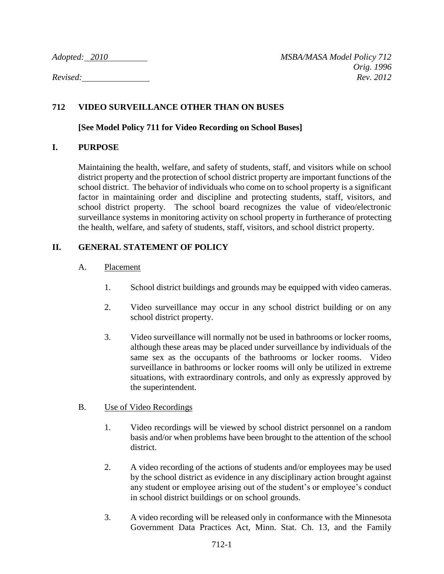# **712 VIDEO SURVEILLANCE OTHER THAN ON BUSES**

### **[See Model Policy 711 for Video Recording on School Buses]**

# **I. PURPOSE**

Maintaining the health, welfare, and safety of students, staff, and visitors while on school district property and the protection of school district property are important functions of the school district. The behavior of individuals who come on to school property is a significant factor in maintaining order and discipline and protecting students, staff, visitors, and school district property. The school board recognizes the value of video/electronic surveillance systems in monitoring activity on school property in furtherance of protecting the health, welfare, and safety of students, staff, visitors, and school district property.

# **II. GENERAL STATEMENT OF POLICY**

# A. Placement

- 1. School district buildings and grounds may be equipped with video cameras.
- 2. Video surveillance may occur in any school district building or on any school district property.
- 3. Video surveillance will normally not be used in bathrooms or locker rooms, although these areas may be placed under surveillance by individuals of the same sex as the occupants of the bathrooms or locker rooms. Video surveillance in bathrooms or locker rooms will only be utilized in extreme situations, with extraordinary controls, and only as expressly approved by the superintendent.

#### B. Use of Video Recordings

- 1. Video recordings will be viewed by school district personnel on a random basis and/or when problems have been brought to the attention of the school district.
- 2. A video recording of the actions of students and/or employees may be used by the school district as evidence in any disciplinary action brought against any student or employee arising out of the student's or employee's conduct in school district buildings or on school grounds.
- 3. A video recording will be released only in conformance with the Minnesota Government Data Practices Act, Minn. Stat. Ch. 13, and the Family